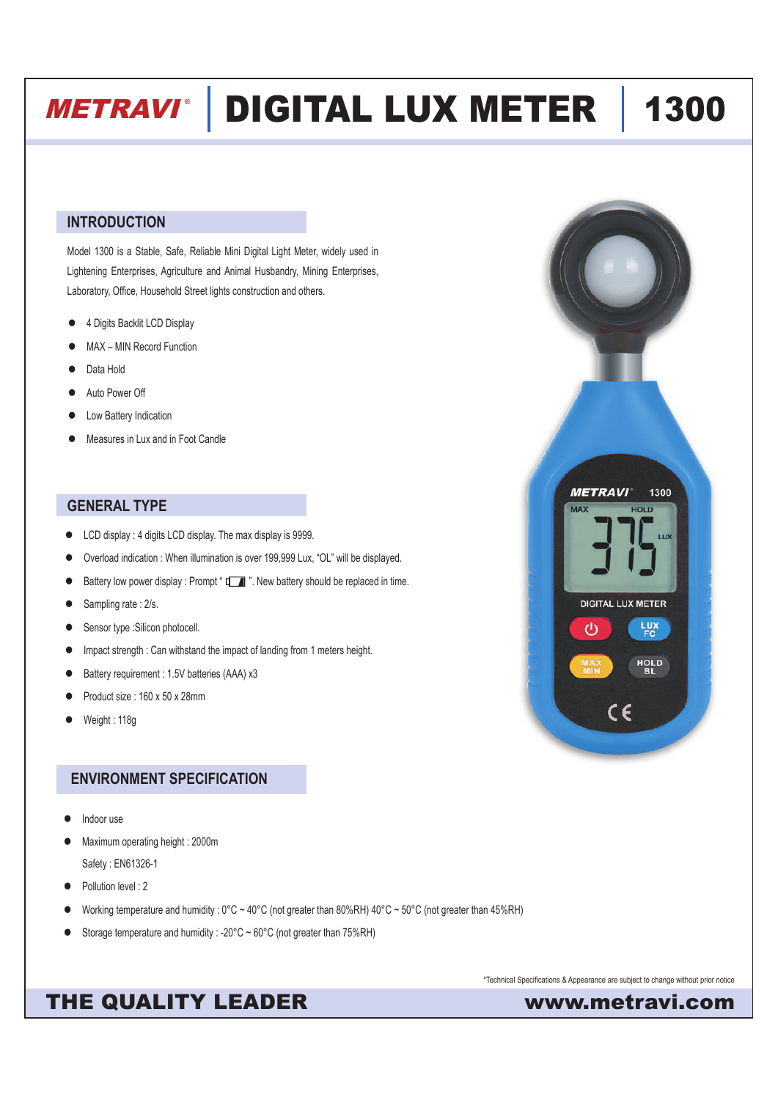# METRAVI **®** DIGITAL LUX METER 1300

### **INTRODUCTION**

Model 1300 is a Stable, Safe, Reliable Mini Digital Light Meter, widely used in Lightening Enterprises, Agriculture and Animal Husbandry, Mining Enterprises, Laboratory, Office, Household Street lights construction and others.

- 4 Digits Backlit LCD Display
- MAX MIN Record Function
- Data Hold
- Auto Power Off
- Low Battery Indication
- Measures in Lux and in Foot Candle

### **GENERAL TYPE**

- **•** LCD display : 4 digits LCD display. The max display is 9999.
- Overload indication : When illumination is over 199,999 Lux, "OL" will be displayed.
- Battery low power display : Prompt "  $\Box$  ". New battery should be replaced in time.
- Sampling rate : 2/s.
- Sensor type : Silicon photocell.
- Impact strength : Can withstand the impact of landing from 1 meters height.
- Battery requirement : 1.5V batteries (AAA) x3
- Product size : 160 x 50 x 28mm
- Weight : 118g

## **ENVIRONMENT SPECIFICATION**

- Indoor use
- Maximum operating height : 2000m Safety : EN61326-1
- Pollution level : 2
- l Working temperature and humidity : 0°C ~ 40°C (not greater than 80%RH) 40°C ~ 50°C (not greater than 45%RH)
- Storage temperature and humidity : -20°C  $\sim$  60°C (not greater than 75%RH)

\*Technical Specifications & Appearance are subject to change without prior notice